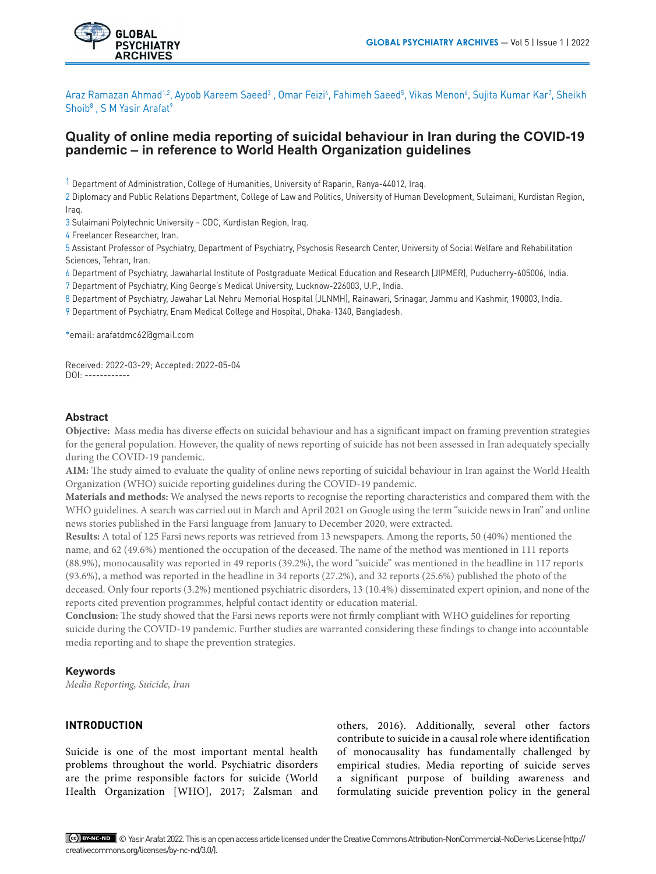

Araz Ramazan Ahmad<sup>1,2</sup>, Ayoob Kareem Saeed<sup>3</sup> , Omar Feizi<sup>4</sup>, Fahimeh Saeed<sup>5</sup>, Vikas Menon<sup>6</sup>, Sujita Kumar Kar<sup>7</sup>, Sheikh Shoib<sup>8</sup>, S M Yasir Arafat<sup>9</sup>

# **Quality of online media reporting of suicidal behaviour in Iran during the COVID-19 pandemic – in reference to World Health Organization guidelines**

1 Department of Administration, College of Humanities, University of Raparin, Ranya-44012, Iraq.

2 Diplomacy and Public Relations Department, College of Law and Politics, University of Human Development, Sulaimani, Kurdistan Region, Iraq.

3 Sulaimani Polytechnic University – CDC, Kurdistan Region, Iraq.

4 Freelancer Researcher, Iran.

5 Assistant Professor of Psychiatry, Department of Psychiatry, Psychosis Research Center, University of Social Welfare and Rehabilitation Sciences, Tehran, Iran.

6 Department of Psychiatry, Jawaharlal Institute of Postgraduate Medical Education and Research (JIPMER), Puducherry-605006, India.

7 Department of Psychiatry, King George's Medical University, Lucknow-226003, U.P., India.

8 Department of Psychiatry, Jawahar Lal Nehru Memorial Hospital (JLNMH), Rainawari, Srinagar, Jammu and Kashmir, 190003, India.

9 Department of Psychiatry, Enam Medical College and Hospital, Dhaka-1340, Bangladesh.

\*email: arafatdmc62@gmail.com

Received: 2022-03-29; Accepted: 2022-05-04 DOI: ------------

## **Abstract**

**Objective:** Mass media has diverse effects on suicidal behaviour and has a significant impact on framing prevention strategies for the general population. However, the quality of news reporting of suicide has not been assessed in Iran adequately specially during the COVID-19 pandemic*.*

**AIM:** The study aimed to evaluate the quality of online news reporting of suicidal behaviour in Iran against the World Health Organization (WHO) suicide reporting guidelines during the COVID-19 pandemic.

**Materials and methods:** We analysed the news reports to recognise the reporting characteristics and compared them with the WHO guidelines. A search was carried out in March and April 2021 on Google using the term "suicide news in Iran" and online news stories published in the Farsi language from January to December 2020, were extracted*.*

**Results:** A total of 125 Farsi news reports was retrieved from 13 newspapers. Among the reports, 50 (40%) mentioned the name, and 62 (49.6%) mentioned the occupation of the deceased. The name of the method was mentioned in 111 reports (88.9%), monocausality was reported in 49 reports (39.2%), the word "suicide" was mentioned in the headline in 117 reports (93.6%), a method was reported in the headline in 34 reports (27.2%), and 32 reports (25.6%) published the photo of the deceased. Only four reports (3.2%) mentioned psychiatric disorders, 13 (10.4%) disseminated expert opinion, and none of the reports cited prevention programmes, helpful contact identity or education material.

**Conclusion:** The study showed that the Farsi news reports were not firmly compliant with WHO guidelines for reporting suicide during the COVID-19 pandemic. Further studies are warranted considering these findings to change into accountable media reporting and to shape the prevention strategies.

## **Keywords**

*Media Reporting, Suicide, Iran*

## **INTRODUCTION**

Suicide is one of the most important mental health problems throughout the world. Psychiatric disorders are the prime responsible factors for suicide (World Health Organization [WHO], 2017; Zalsman and

others, 2016). Additionally, several other factors contribute to suicide in a causal role where identification of monocausality has fundamentally challenged by empirical studies. Media reporting of suicide serves a significant purpose of building awareness and formulating suicide prevention policy in the general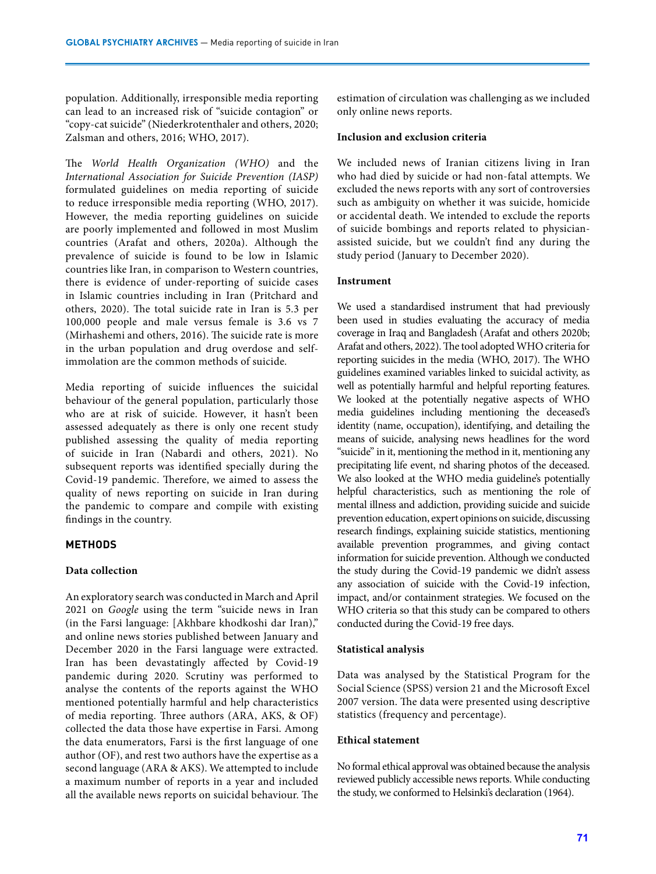population. Additionally, irresponsible media reporting can lead to an increased risk of "suicide contagion" or "copy-cat suicide" (Niederkrotenthaler and others, 2020; Zalsman and others, 2016; WHO, 2017).

The *World Health Organization (WHO)* and the *International Association for Suicide Prevention (IASP)* formulated guidelines on media reporting of suicide to reduce irresponsible media reporting (WHO, 2017). However, the media reporting guidelines on suicide are poorly implemented and followed in most Muslim countries (Arafat and others, 2020a). Although the prevalence of suicide is found to be low in Islamic countries like Iran, in comparison to Western countries, there is evidence of under-reporting of suicide cases in Islamic countries including in Iran (Pritchard and others, 2020). The total suicide rate in Iran is 5.3 per 100,000 people and male versus female is 3.6 vs 7 (Mirhashemi and others, 2016). The suicide rate is more in the urban population and drug overdose and selfimmolation are the common methods of suicide.

Media reporting of suicide influences the suicidal behaviour of the general population, particularly those who are at risk of suicide. However, it hasn't been assessed adequately as there is only one recent study published assessing the quality of media reporting of suicide in Iran (Nabardi and others, 2021). No subsequent reports was identified specially during the Covid-19 pandemic. Therefore, we aimed to assess the quality of news reporting on suicide in Iran during the pandemic to compare and compile with existing findings in the country.

## **METHODS**

## **Data collection**

An exploratory search was conducted in March and April 2021 on *Google* using the term "suicide news in Iran (in the Farsi language: [Akhbare khodkoshi dar Iran)," and online news stories published between January and December 2020 in the Farsi language were extracted. Iran has been devastatingly affected by Covid-19 pandemic during 2020. Scrutiny was performed to analyse the contents of the reports against the WHO mentioned potentially harmful and help characteristics of media reporting. Three authors (ARA, AKS, & OF) collected the data those have expertise in Farsi. Among the data enumerators, Farsi is the first language of one author (OF), and rest two authors have the expertise as a second language (ARA & AKS). We attempted to include a maximum number of reports in a year and included all the available news reports on suicidal behaviour. The estimation of circulation was challenging as we included only online news reports.

## **Inclusion and exclusion criteria**

We included news of Iranian citizens living in Iran who had died by suicide or had non-fatal attempts. We excluded the news reports with any sort of controversies such as ambiguity on whether it was suicide, homicide or accidental death. We intended to exclude the reports of suicide bombings and reports related to physicianassisted suicide, but we couldn't find any during the study period (January to December 2020).

## **Instrument**

We used a standardised instrument that had previously been used in studies evaluating the accuracy of media coverage in Iraq and Bangladesh (Arafat and others 2020b; Arafat and others, 2022). The tool adopted WHO criteria for reporting suicides in the media (WHO, 2017). The WHO guidelines examined variables linked to suicidal activity, as well as potentially harmful and helpful reporting features. We looked at the potentially negative aspects of WHO media guidelines including mentioning the deceased's identity (name, occupation), identifying, and detailing the means of suicide, analysing news headlines for the word "suicide" in it, mentioning the method in it, mentioning any precipitating life event, nd sharing photos of the deceased. We also looked at the WHO media guideline's potentially helpful characteristics, such as mentioning the role of mental illness and addiction, providing suicide and suicide prevention education, expert opinions on suicide, discussing research findings, explaining suicide statistics, mentioning available prevention programmes, and giving contact information for suicide prevention. Although we conducted the study during the Covid-19 pandemic we didn't assess any association of suicide with the Covid-19 infection, impact, and/or containment strategies. We focused on the WHO criteria so that this study can be compared to others conducted during the Covid-19 free days.

## **Statistical analysis**

Data was analysed by the Statistical Program for the Social Science (SPSS) version 21 and the Microsoft Excel 2007 version. The data were presented using descriptive statistics (frequency and percentage).

## **Ethical statement**

No formal ethical approval was obtained because the analysis reviewed publicly accessible news reports. While conducting the study, we conformed to Helsinki's declaration (1964).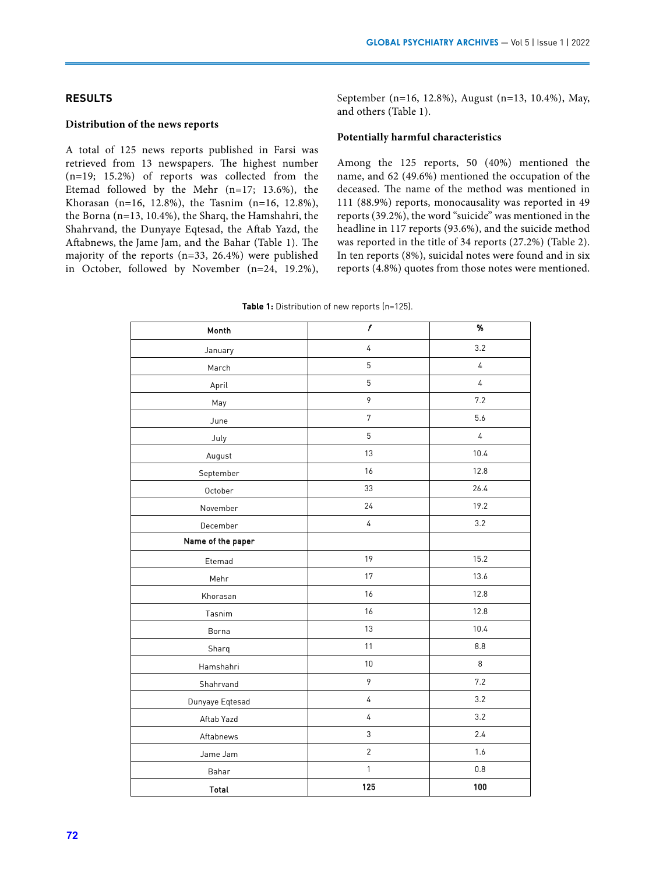## **RESULTS**

### **Distribution of the news reports**

A total of 125 news reports published in Farsi was retrieved from 13 newspapers. The highest number (n=19; 15.2%) of reports was collected from the Etemad followed by the Mehr (n=17; 13.6%), the Khorasan (n=16, 12.8%), the Tasnim (n=16, 12.8%), the Borna (n=13, 10.4%), the Sharq, the Hamshahri, the Shahrvand, the Dunyaye Eqtesad, the Aftab Yazd, the Aftabnews, the Jame Jam, and the Bahar (Table 1). The majority of the reports (n=33, 26.4%) were published in October, followed by November (n=24, 19.2%), September (n=16, 12.8%), August (n=13, 10.4%), May, and others (Table 1).

#### **Potentially harmful characteristics**

Among the 125 reports, 50 (40%) mentioned the name, and 62 (49.6%) mentioned the occupation of the deceased. The name of the method was mentioned in 111 (88.9%) reports, monocausality was reported in 49 reports (39.2%), the word "suicide" was mentioned in the headline in 117 reports (93.6%), and the suicide method was reported in the title of 34 reports (27.2%) (Table 2). In ten reports (8%), suicidal notes were found and in six reports (4.8%) quotes from those notes were mentioned.

| Month             | $\overline{t}$ | $\overline{\gamma_0}$ |
|-------------------|----------------|-----------------------|
| January           | $\overline{4}$ | 3.2                   |
| March             | $\mathbf 5$    | $\sqrt{4}$            |
| April             | 5              | $\overline{4}$        |
| May               | 9              | 7.2                   |
| June              | $\sqrt{ }$     | 5.6                   |
| July              | 5              | $\overline{4}$        |
| August            | 13             | 10.4                  |
| September         | 16             | 12.8                  |
| October           | 33             | 26.4                  |
| November          | 24             | 19.2                  |
| December          | 4              | 3.2                   |
| Name of the paper |                |                       |
| Etemad            | 19             | 15.2                  |
| Mehr              | 17             | 13.6                  |
| Khorasan          | 16             | 12.8                  |
| Tasnim            | 16             | 12.8                  |
| Borna             | 13             | 10.4                  |
| Sharq             | 11             | 8.8                   |
| Hamshahri         | $10$           | 8                     |
| Shahrvand         | 9              | 7.2                   |
| Dunyaye Eqtesad   | 4              | 3.2                   |
| Aftab Yazd        | 4              | 3.2                   |
| Aftabnews         | 3              | 2.4                   |
| Jame Jam          | $\overline{2}$ | 1.6                   |
| Bahar             | $\mathbbm{1}$  | $0.8\,$               |
| Total             | 125            | 100                   |

**Table 1:** Distribution of new reports (n=125).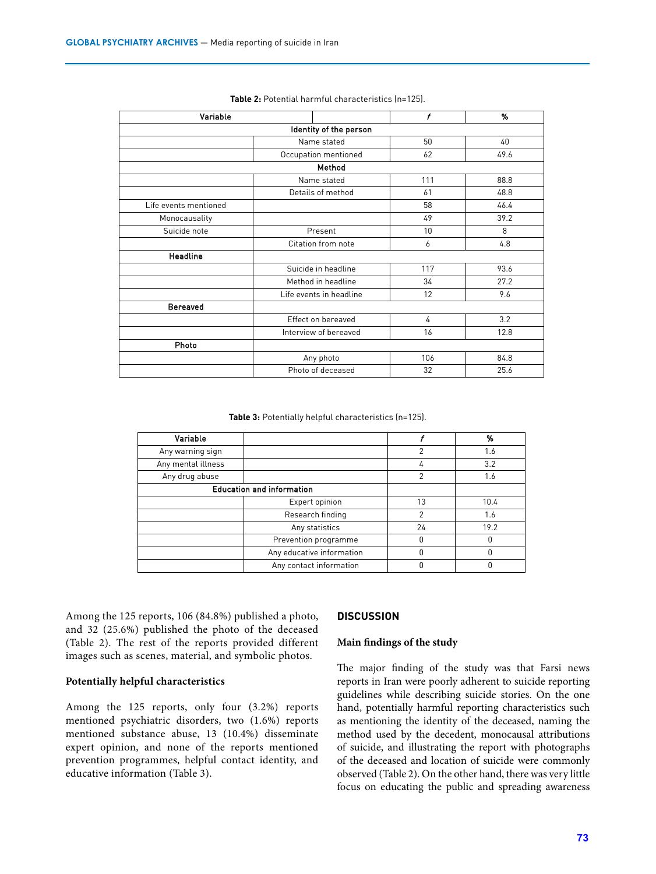| Variable              |                         | $\mathbf f$ | %    |
|-----------------------|-------------------------|-------------|------|
|                       | Identity of the person  |             |      |
|                       | Name stated             | 50          | 40   |
|                       | Occupation mentioned    | 62          | 49.6 |
|                       | Method                  |             |      |
|                       | Name stated             | 111         | 88.8 |
|                       | Details of method       | 61          | 48.8 |
| Life events mentioned |                         | 58          | 46.4 |
| Monocausality         |                         | 49          | 39.2 |
| Suicide note          | Present                 | 10          | 8    |
|                       | Citation from note      | 6           | 4.8  |
| <b>Headline</b>       |                         |             |      |
|                       | Suicide in headline     | 117         | 93.6 |
|                       | Method in headline      | 34          | 27.2 |
|                       | Life events in headline | 12          | 9.6  |
| <b>Bereaved</b>       |                         |             |      |
|                       | Effect on bereaved      | 4           | 3.2  |
|                       | Interview of bereaved   | 16          | 12.8 |
| Photo                 |                         |             |      |
|                       | Any photo               | 106         | 84.8 |
|                       | Photo of deceased       | 32          | 25.6 |

| Table 2: Potential harmful characteristics (n=125). |  |  |  |
|-----------------------------------------------------|--|--|--|
|-----------------------------------------------------|--|--|--|

**Table 3:** Potentially helpful characteristics (n=125).

| Variable                         |                           |    | %    |
|----------------------------------|---------------------------|----|------|
| Any warning sign                 |                           | າ  | 1.6  |
| Any mental illness               |                           |    | 3.2  |
| Any drug abuse                   |                           | っ  | 1.6  |
| <b>Education and information</b> |                           |    |      |
|                                  | Expert opinion            | 13 | 10.4 |
|                                  | Research finding          | ◠  | 1.6  |
|                                  | Any statistics            | 24 | 19.2 |
|                                  | Prevention programme      |    |      |
|                                  | Any educative information | O  |      |
|                                  | Any contact information   |    |      |

Among the 125 reports, 106 (84.8%) published a photo, and 32 (25.6%) published the photo of the deceased (Table 2). The rest of the reports provided different images such as scenes, material, and symbolic photos.

#### **Potentially helpful characteristics**

Among the 125 reports, only four (3.2%) reports mentioned psychiatric disorders, two (1.6%) reports mentioned substance abuse, 13 (10.4%) disseminate expert opinion, and none of the reports mentioned prevention programmes, helpful contact identity, and educative information (Table 3).

## **DISCUSSION**

#### **Main findings of the study**

The major finding of the study was that Farsi news reports in Iran were poorly adherent to suicide reporting guidelines while describing suicide stories. On the one hand, potentially harmful reporting characteristics such as mentioning the identity of the deceased, naming the method used by the decedent, monocausal attributions of suicide, and illustrating the report with photographs of the deceased and location of suicide were commonly observed (Table 2). On the other hand, there was very little focus on educating the public and spreading awareness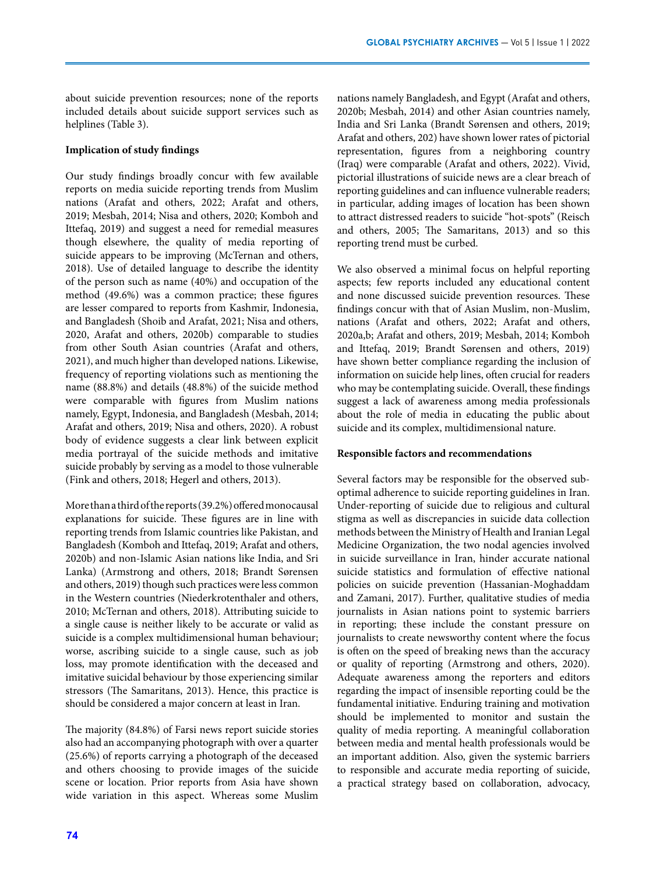about suicide prevention resources; none of the reports included details about suicide support services such as helplines (Table 3).

#### **Implication of study findings**

Our study findings broadly concur with few available reports on media suicide reporting trends from Muslim nations (Arafat and others, 2022; Arafat and others, 2019; Mesbah, 2014; Nisa and others, 2020; Komboh and Ittefaq, 2019) and suggest a need for remedial measures though elsewhere, the quality of media reporting of suicide appears to be improving (McTernan and others, 2018). Use of detailed language to describe the identity of the person such as name (40%) and occupation of the method (49.6%) was a common practice; these figures are lesser compared to reports from Kashmir, Indonesia, and Bangladesh (Shoib and Arafat, 2021; Nisa and others, 2020, Arafat and others, 2020b) comparable to studies from other South Asian countries (Arafat and others, 2021), and much higher than developed nations. Likewise, frequency of reporting violations such as mentioning the name (88.8%) and details (48.8%) of the suicide method were comparable with figures from Muslim nations namely, Egypt, Indonesia, and Bangladesh (Mesbah, 2014; Arafat and others, 2019; Nisa and others, 2020). A robust body of evidence suggests a clear link between explicit media portrayal of the suicide methods and imitative suicide probably by serving as a model to those vulnerable (Fink and others, 2018; Hegerl and others, 2013).

More than a third of the reports (39.2%) offered monocausal explanations for suicide. These figures are in line with reporting trends from Islamic countries like Pakistan, and Bangladesh (Komboh and Ittefaq, 2019; Arafat and others, 2020b) and non-Islamic Asian nations like India, and Sri Lanka) (Armstrong and others, 2018; Brandt Sørensen and others, 2019) though such practices were less common in the Western countries (Niederkrotenthaler and others, 2010; McTernan and others, 2018). Attributing suicide to a single cause is neither likely to be accurate or valid as suicide is a complex multidimensional human behaviour; worse, ascribing suicide to a single cause, such as job loss, may promote identification with the deceased and imitative suicidal behaviour by those experiencing similar stressors (The Samaritans, 2013). Hence, this practice is should be considered a major concern at least in Iran.

The majority (84.8%) of Farsi news report suicide stories also had an accompanying photograph with over a quarter (25.6%) of reports carrying a photograph of the deceased and others choosing to provide images of the suicide scene or location. Prior reports from Asia have shown wide variation in this aspect. Whereas some Muslim

nations namely Bangladesh, and Egypt (Arafat and others, 2020b; Mesbah, 2014) and other Asian countries namely, India and Sri Lanka (Brandt Sørensen and others, 2019; Arafat and others, 202) have shown lower rates of pictorial representation, figures from a neighboring country (Iraq) were comparable (Arafat and others, 2022). Vivid, pictorial illustrations of suicide news are a clear breach of reporting guidelines and can influence vulnerable readers; in particular, adding images of location has been shown to attract distressed readers to suicide "hot-spots" (Reisch and others, 2005; The Samaritans, 2013) and so this reporting trend must be curbed.

We also observed a minimal focus on helpful reporting aspects; few reports included any educational content and none discussed suicide prevention resources. These findings concur with that of Asian Muslim, non-Muslim, nations (Arafat and others, 2022; Arafat and others, 2020a,b; Arafat and others, 2019; Mesbah, 2014; Komboh and Ittefaq, 2019; Brandt Sørensen and others, 2019) have shown better compliance regarding the inclusion of information on suicide help lines, often crucial for readers who may be contemplating suicide. Overall, these findings suggest a lack of awareness among media professionals about the role of media in educating the public about suicide and its complex, multidimensional nature.

#### **Responsible factors and recommendations**

Several factors may be responsible for the observed suboptimal adherence to suicide reporting guidelines in Iran. Under-reporting of suicide due to religious and cultural stigma as well as discrepancies in suicide data collection methods between the Ministry of Health and Iranian Legal Medicine Organization, the two nodal agencies involved in suicide surveillance in Iran, hinder accurate national suicide statistics and formulation of effective national policies on suicide prevention (Hassanian-Moghaddam and Zamani, 2017). Further, qualitative studies of media journalists in Asian nations point to systemic barriers in reporting; these include the constant pressure on journalists to create newsworthy content where the focus is often on the speed of breaking news than the accuracy or quality of reporting (Armstrong and others, 2020). Adequate awareness among the reporters and editors regarding the impact of insensible reporting could be the fundamental initiative. Enduring training and motivation should be implemented to monitor and sustain the quality of media reporting. A meaningful collaboration between media and mental health professionals would be an important addition. Also, given the systemic barriers to responsible and accurate media reporting of suicide, a practical strategy based on collaboration, advocacy,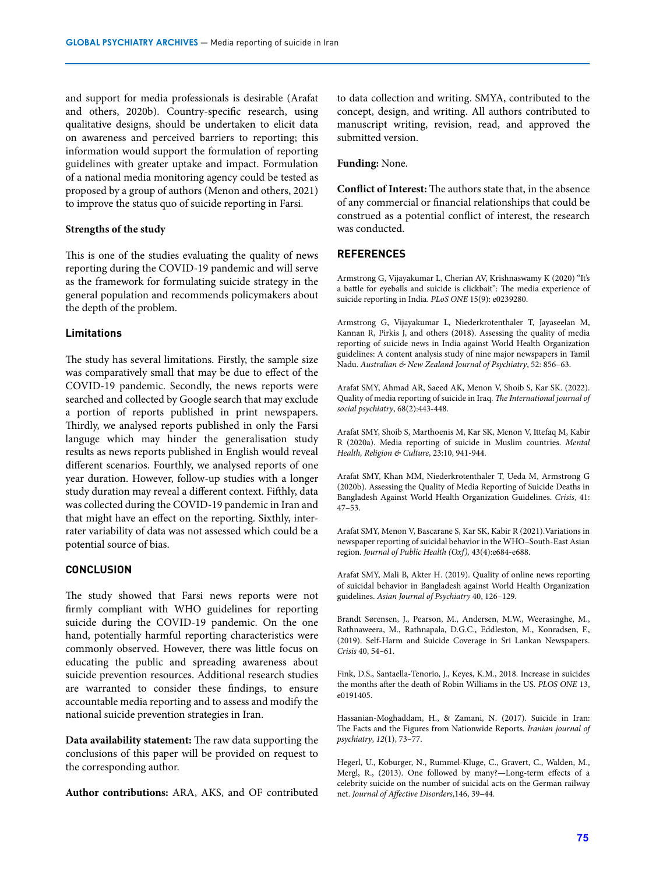and support for media professionals is desirable (Arafat and others, 2020b). Country-specific research, using qualitative designs, should be undertaken to elicit data on awareness and perceived barriers to reporting; this information would support the formulation of reporting guidelines with greater uptake and impact. Formulation of a national media monitoring agency could be tested as proposed by a group of authors (Menon and others, 2021) to improve the status quo of suicide reporting in Farsi.

#### **Strengths of the study**

This is one of the studies evaluating the quality of news reporting during the COVID-19 pandemic and will serve as the framework for formulating suicide strategy in the general population and recommends policymakers about the depth of the problem.

## **Limitations**

The study has several limitations. Firstly, the sample size was comparatively small that may be due to effect of the COVID-19 pandemic. Secondly, the news reports were searched and collected by Google search that may exclude a portion of reports published in print newspapers. Thirdly, we analysed reports published in only the Farsi languge which may hinder the generalisation study results as news reports published in English would reveal different scenarios. Fourthly, we analysed reports of one year duration. However, follow-up studies with a longer study duration may reveal a different context. Fifthly, data was collected during the COVID-19 pandemic in Iran and that might have an effect on the reporting. Sixthly, interrater variability of data was not assessed which could be a potential source of bias.

## **CONCLUSION**

The study showed that Farsi news reports were not firmly compliant with WHO guidelines for reporting suicide during the COVID-19 pandemic. On the one hand, potentially harmful reporting characteristics were commonly observed. However, there was little focus on educating the public and spreading awareness about suicide prevention resources. Additional research studies are warranted to consider these findings, to ensure accountable media reporting and to assess and modify the national suicide prevention strategies in Iran.

**Data availability statement:** The raw data supporting the conclusions of this paper will be provided on request to the corresponding author.

**Author contributions:** ARA, AKS, and OF contributed

to data collection and writing. SMYA, contributed to the concept, design, and writing. All authors contributed to manuscript writing, revision, read, and approved the submitted version.

#### **Funding:** None.

**Conflict of Interest:** The authors state that, in the absence of any commercial or financial relationships that could be construed as a potential conflict of interest, the research was conducted.

### **REFERENCES**

Armstrong G, Vijayakumar L, Cherian AV, Krishnaswamy K (2020) "It's a battle for eyeballs and suicide is clickbait": The media experience of suicide reporting in India. *PLoS ONE* 15(9): e0239280.

Armstrong G, Vijayakumar L, Niederkrotenthaler T, Jayaseelan M, Kannan R, Pirkis J, and others (2018). Assessing the quality of media reporting of suicide news in India against World Health Organization guidelines: A content analysis study of nine major newspapers in Tamil Nadu. *Australian & New Zealand Journal of Psychiatry*, 52: 856–63.

Arafat SMY, Ahmad AR, Saeed AK, Menon V, Shoib S, Kar SK. (2022). Quality of media reporting of suicide in Iraq. *The International journal of social psychiatry*, 68(2):443-448.

Arafat SMY, Shoib S, Marthoenis M, Kar SK, Menon V, Ittefaq M, Kabir R (2020a). Media reporting of suicide in Muslim countries. *Mental Health, Religion & Culture*, 23:10, 941-944.

Arafat SMY, Khan MM, Niederkrotenthaler T, Ueda M, Armstrong G (2020b). Assessing the Quality of Media Reporting of Suicide Deaths in Bangladesh Against World Health Organization Guidelines. *Crisis*, 41: 47–53.

Arafat SMY, Menon V, Bascarane S, Kar SK, Kabir R (2021).Variations in newspaper reporting of suicidal behavior in the WHO–South-East Asian region. *Journal of Public Health (Oxf),* 43(4):e684-e688.

Arafat SMY, Mali B, Akter H. (2019). Quality of online news reporting of suicidal behavior in Bangladesh against World Health Organization guidelines. *Asian Journal of Psychiatry* 40, 126–129.

Brandt Sørensen, J., Pearson, M., Andersen, M.W., Weerasinghe, M., Rathnaweera, M., Rathnapala, D.G.C., Eddleston, M., Konradsen, F., (2019). Self-Harm and Suicide Coverage in Sri Lankan Newspapers. *Crisis* 40, 54–61.

Fink, D.S., Santaella-Tenorio, J., Keyes, K.M., 2018. Increase in suicides the months after the death of Robin Williams in the US. *PLOS ONE* 13, e0191405.

Hassanian-Moghaddam, H., & Zamani, N. (2017). Suicide in Iran: The Facts and the Figures from Nationwide Reports. *Iranian journal of psychiatry*, *12*(1), 73–77.

Hegerl, U., Koburger, N., Rummel-Kluge, C., Gravert, C., Walden, M., Mergl, R., (2013). One followed by many?—Long-term effects of a celebrity suicide on the number of suicidal acts on the German railway net. *Journal of Affective Disorders*,146, 39–44.